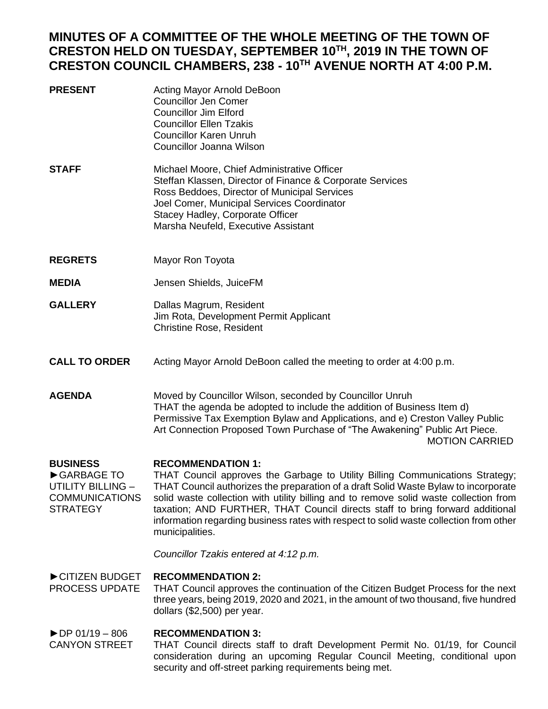## **MINUTES OF A COMMITTEE OF THE WHOLE MEETING OF THE TOWN OF CRESTON HELD ON TUESDAY, SEPTEMBER 10TH, 2019 IN THE TOWN OF CRESTON COUNCIL CHAMBERS, 238 - 10TH AVENUE NORTH AT 4:00 P.M.**

| <b>PRESENT</b>                                                                                                                                                                                                                                                                                                                                                                                                                                                                                                                                                                            | Acting Mayor Arnold DeBoon<br><b>Councillor Jen Comer</b><br><b>Councillor Jim Elford</b><br><b>Councillor Ellen Tzakis</b><br><b>Councillor Karen Unruh</b><br>Councillor Joanna Wilson                                                                                                                                   |  |  |
|-------------------------------------------------------------------------------------------------------------------------------------------------------------------------------------------------------------------------------------------------------------------------------------------------------------------------------------------------------------------------------------------------------------------------------------------------------------------------------------------------------------------------------------------------------------------------------------------|----------------------------------------------------------------------------------------------------------------------------------------------------------------------------------------------------------------------------------------------------------------------------------------------------------------------------|--|--|
| <b>STAFF</b>                                                                                                                                                                                                                                                                                                                                                                                                                                                                                                                                                                              | Michael Moore, Chief Administrative Officer<br>Steffan Klassen, Director of Finance & Corporate Services<br>Ross Beddoes, Director of Municipal Services<br>Joel Comer, Municipal Services Coordinator<br>Stacey Hadley, Corporate Officer<br>Marsha Neufeld, Executive Assistant                                          |  |  |
| <b>REGRETS</b>                                                                                                                                                                                                                                                                                                                                                                                                                                                                                                                                                                            | Mayor Ron Toyota                                                                                                                                                                                                                                                                                                           |  |  |
| <b>MEDIA</b>                                                                                                                                                                                                                                                                                                                                                                                                                                                                                                                                                                              | Jensen Shields, JuiceFM                                                                                                                                                                                                                                                                                                    |  |  |
| <b>GALLERY</b>                                                                                                                                                                                                                                                                                                                                                                                                                                                                                                                                                                            | Dallas Magrum, Resident<br>Jim Rota, Development Permit Applicant<br><b>Christine Rose, Resident</b>                                                                                                                                                                                                                       |  |  |
| <b>CALL TO ORDER</b>                                                                                                                                                                                                                                                                                                                                                                                                                                                                                                                                                                      | Acting Mayor Arnold DeBoon called the meeting to order at 4:00 p.m.                                                                                                                                                                                                                                                        |  |  |
| <b>AGENDA</b>                                                                                                                                                                                                                                                                                                                                                                                                                                                                                                                                                                             | Moved by Councillor Wilson, seconded by Councillor Unruh<br>THAT the agenda be adopted to include the addition of Business Item d)<br>Permissive Tax Exemption Bylaw and Applications, and e) Creston Valley Public<br>Art Connection Proposed Town Purchase of "The Awakening" Public Art Piece.<br><b>MOTION CARRIED</b> |  |  |
| <b>BUSINESS</b><br><b>RECOMMENDATION 1:</b><br>GARBAGE TO<br>THAT Council approves the Garbage to Utility Billing Communications Strategy;<br>THAT Council authorizes the preparation of a draft Solid Waste Bylaw to incorporate<br>UTILITY BILLING -<br><b>COMMUNICATIONS</b><br>solid waste collection with utility billing and to remove solid waste collection from<br>taxation; AND FURTHER, THAT Council directs staff to bring forward additional<br><b>STRATEGY</b><br>information regarding business rates with respect to solid waste collection from other<br>municipalities. |                                                                                                                                                                                                                                                                                                                            |  |  |
|                                                                                                                                                                                                                                                                                                                                                                                                                                                                                                                                                                                           | Councillor Tzakis entered at 4:12 p.m.                                                                                                                                                                                                                                                                                     |  |  |
| CITIZEN BUDGET<br><b>PROCESS UPDATE</b>                                                                                                                                                                                                                                                                                                                                                                                                                                                                                                                                                   | <b>RECOMMENDATION 2:</b><br>THAT Council approves the continuation of the Citizen Budget Process for the next<br>three years, being 2019, 2020 and 2021, in the amount of two thousand, five hundred<br>dollars (\$2,500) per year.                                                                                        |  |  |
| $\triangleright$ DP 01/19 - 806<br>CANIVONI STDEET                                                                                                                                                                                                                                                                                                                                                                                                                                                                                                                                        | <b>RECOMMENDATION 3:</b><br>THAT Council directs staff to draft Dovelopment Permit No. 01/10 for Council                                                                                                                                                                                                                   |  |  |

CANYON STREET THAT Council directs staff to draft Development Permit No. 01/19, for Council consideration during an upcoming Regular Council Meeting, conditional upon security and off-street parking requirements being met.